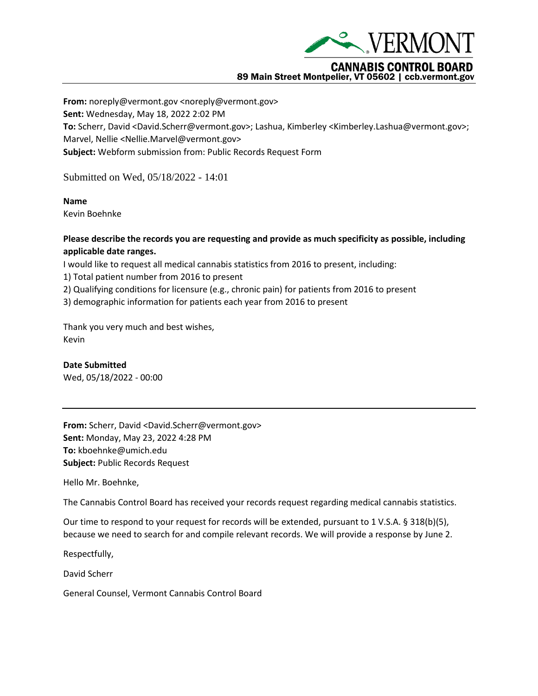

## 89 Main Street Montpelier, VT 05602 | ccb.vermont.gov

**From:** noreply@vermont.gov <noreply@vermont.gov> **Sent:** Wednesday, May 18, 2022 2:02 PM **To:** Scherr, David <David.Scherr@vermont.gov>; Lashua, Kimberley <Kimberley.Lashua@vermont.gov>; Marvel, Nellie <Nellie.Marvel@vermont.gov> **Subject:** Webform submission from: Public Records Request Form

Submitted on Wed, 05/18/2022 - 14:01

## **Name**

Kevin Boehnke

## **Please describe the records you are requesting and provide as much specificity as possible, including applicable date ranges.**

I would like to request all medical cannabis statistics from 2016 to present, including:

1) Total patient number from 2016 to present

2) Qualifying conditions for licensure (e.g., chronic pain) for patients from 2016 to present

3) demographic information for patients each year from 2016 to present

Thank you very much and best wishes, Kevin

**Date Submitted** Wed, 05/18/2022 - 00:00

**From:** Scherr, David <David.Scherr@vermont.gov> **Sent:** Monday, May 23, 2022 4:28 PM **To:** kboehnke@umich.edu **Subject:** Public Records Request

Hello Mr. Boehnke,

The Cannabis Control Board has received your records request regarding medical cannabis statistics.

Our time to respond to your request for records will be extended, pursuant to 1 V.S.A. § 318(b)(5), because we need to search for and compile relevant records. We will provide a response by June 2.

Respectfully,

David Scherr

General Counsel, Vermont Cannabis Control Board